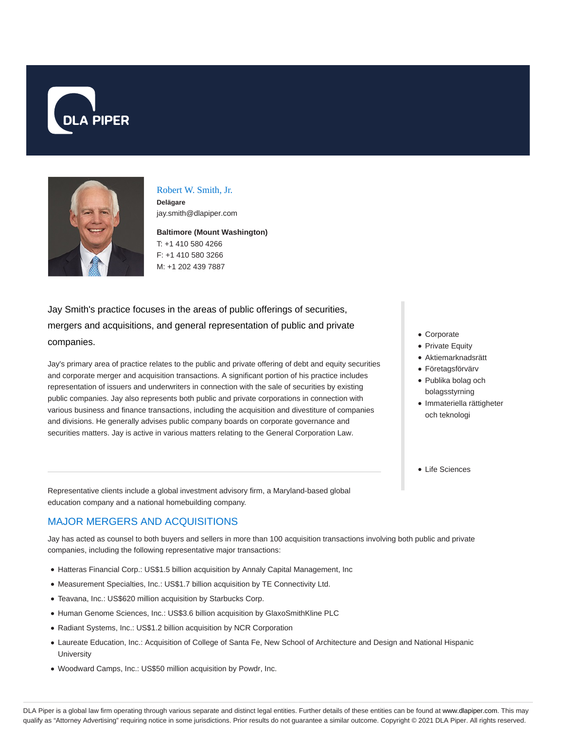



#### Robert W. Smith, Jr.

**Delägare** jay.smith@dlapiper.com

**Baltimore (Mount Washington)** T: +1 410 580 4266 F: +1 410 580 3266 M: +1 202 439 7887

Jay Smith's practice focuses in the areas of public offerings of securities, mergers and acquisitions, and general representation of public and private companies.

Jay's primary area of practice relates to the public and private offering of debt and equity securities and corporate merger and acquisition transactions. A significant portion of his practice includes representation of issuers and underwriters in connection with the sale of securities by existing public companies. Jay also represents both public and private corporations in connection with various business and finance transactions, including the acquisition and divestiture of companies and divisions. He generally advises public company boards on corporate governance and securities matters. Jay is active in various matters relating to the General Corporation Law.

- Corporate
- Private Equity
- Aktiemarknadsrätt
- Företagsförvärv
- Publika bolag och bolagsstyrning
- Immateriella rättigheter och teknologi
- Life Sciences

Representative clients include a global investment advisory firm, a Maryland-based global education company and a national homebuilding company.

### MAJOR MERGERS AND ACQUISITIONS

Jay has acted as counsel to both buyers and sellers in more than 100 acquisition transactions involving both public and private companies, including the following representative major transactions:

- Hatteras Financial Corp.: US\$1.5 billion acquisition by Annaly Capital Management, Inc
- Measurement Specialties, Inc.: US\$1.7 billion acquisition by TE Connectivity Ltd.
- Teavana, Inc.: US\$620 million acquisition by Starbucks Corp.
- Human Genome Sciences, Inc.: US\$3.6 billion acquisition by GlaxoSmithKline PLC
- Radiant Systems, Inc.: US\$1.2 billion acquisition by NCR Corporation
- Laureate Education, Inc.: Acquisition of College of Santa Fe, New School of Architecture and Design and National Hispanic **University**
- Woodward Camps, Inc.: US\$50 million acquisition by Powdr, Inc.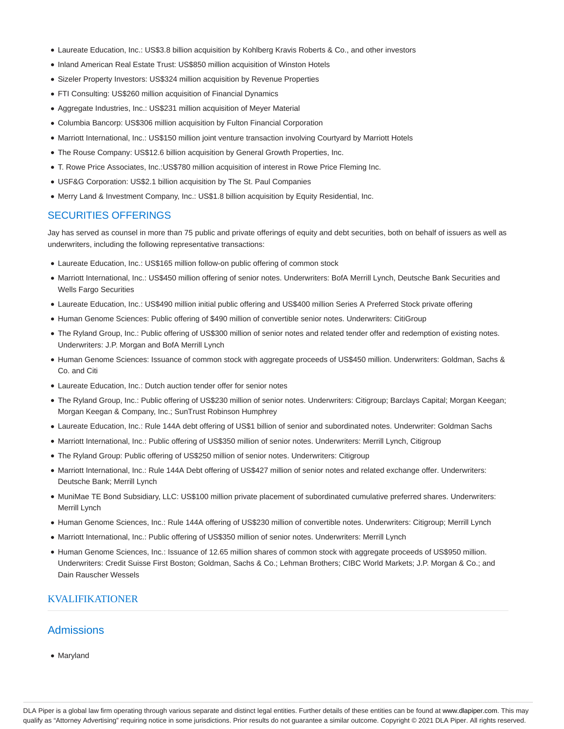- Laureate Education, Inc.: US\$3.8 billion acquisition by Kohlberg Kravis Roberts & Co., and other investors
- Inland American Real Estate Trust: US\$850 million acquisition of Winston Hotels
- Sizeler Property Investors: US\$324 million acquisition by Revenue Properties
- FTI Consulting: US\$260 million acquisition of Financial Dynamics
- Aggregate Industries, Inc.: US\$231 million acquisition of Meyer Material
- Columbia Bancorp: US\$306 million acquisition by Fulton Financial Corporation
- Marriott International, Inc.: US\$150 million joint venture transaction involving Courtyard by Marriott Hotels
- The Rouse Company: US\$12.6 billion acquisition by General Growth Properties, Inc.
- T. Rowe Price Associates, Inc.:US\$780 million acquisition of interest in Rowe Price Fleming Inc.
- USF&G Corporation: US\$2.1 billion acquisition by The St. Paul Companies
- Merry Land & Investment Company, Inc.: US\$1.8 billion acquisition by Equity Residential, Inc.

#### SECURITIES OFFERINGS

Jay has served as counsel in more than 75 public and private offerings of equity and debt securities, both on behalf of issuers as well as underwriters, including the following representative transactions:

- Laureate Education, Inc.: US\$165 million follow-on public offering of common stock
- Marriott International, Inc.: US\$450 million offering of senior notes. Underwriters: BofA Merrill Lynch, Deutsche Bank Securities and Wells Fargo Securities
- Laureate Education, Inc.: US\$490 million initial public offering and US\$400 million Series A Preferred Stock private offering
- Human Genome Sciences: Public offering of \$490 million of convertible senior notes. Underwriters: CitiGroup
- The Ryland Group, Inc.: Public offering of US\$300 million of senior notes and related tender offer and redemption of existing notes. Underwriters: J.P. Morgan and BofA Merrill Lynch
- Human Genome Sciences: Issuance of common stock with aggregate proceeds of US\$450 million. Underwriters: Goldman, Sachs & Co. and Citi
- Laureate Education, Inc.: Dutch auction tender offer for senior notes
- The Ryland Group, Inc.: Public offering of US\$230 million of senior notes. Underwriters: Citigroup; Barclays Capital; Morgan Keegan; Morgan Keegan & Company, Inc.; SunTrust Robinson Humphrey
- Laureate Education, Inc.: Rule 144A debt offering of US\$1 billion of senior and subordinated notes. Underwriter: Goldman Sachs
- Marriott International, Inc.: Public offering of US\$350 million of senior notes. Underwriters: Merrill Lynch, Citigroup
- The Ryland Group: Public offering of US\$250 million of senior notes. Underwriters: Citigroup
- Marriott International, Inc.: Rule 144A Debt offering of US\$427 million of senior notes and related exchange offer. Underwriters: Deutsche Bank; Merrill Lynch
- MuniMae TE Bond Subsidiary, LLC: US\$100 million private placement of subordinated cumulative preferred shares. Underwriters: Merrill Lynch
- Human Genome Sciences, Inc.: Rule 144A offering of US\$230 million of convertible notes. Underwriters: Citigroup; Merrill Lynch
- Marriott International, Inc.: Public offering of US\$350 million of senior notes. Underwriters: Merrill Lynch
- Human Genome Sciences, Inc.: Issuance of 12.65 million shares of common stock with aggregate proceeds of US\$950 million. Underwriters: Credit Suisse First Boston; Goldman, Sachs & Co.; Lehman Brothers; CIBC World Markets; J.P. Morgan & Co.; and Dain Rauscher Wessels

### KVALIFIKATIONER

### **Admissions**

Maryland